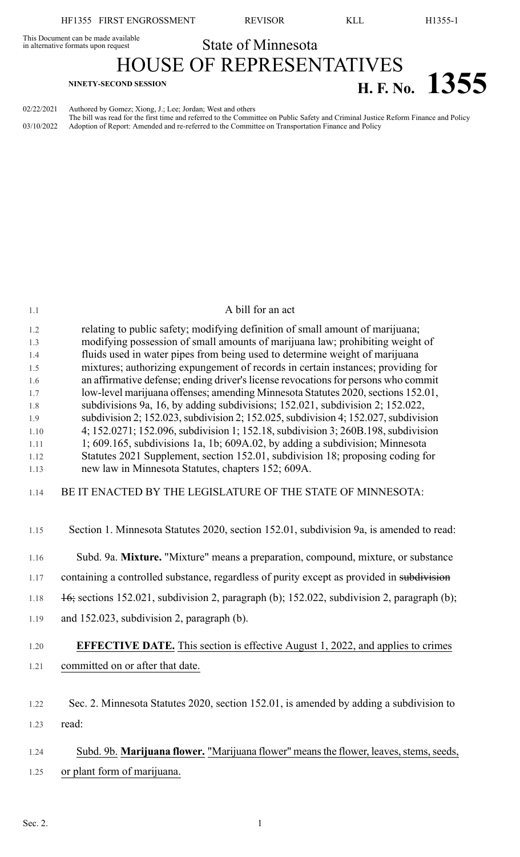HF1355 FIRST ENGROSSMENT REVISOR KLL H1355-1

This Document can be made available<br>in alternative formats upon request **State of Minnesota** 

HOUSE OF REPRESENTATIVES **H. F. NO. 1355** 

02/22/2021 Authored by Gomez; Xiong, J.; Lee; Jordan; West and others

The bill was read for the first time and referred to the Committee on Public Safety and Criminal Justice Reform Finance and Policy 03/10/2022 Adoption of Report: Amended and re-referred to the Committee on Transportation Finance and Policy

| 1.1          | A bill for an act                                                                                                                                               |
|--------------|-----------------------------------------------------------------------------------------------------------------------------------------------------------------|
| 1.2          | relating to public safety; modifying definition of small amount of marijuana;                                                                                   |
| 1.3          | modifying possession of small amounts of marijuana law; prohibiting weight of                                                                                   |
| 1.4<br>1.5   | fluids used in water pipes from being used to determine weight of marijuana<br>mixtures; authorizing expungement of records in certain instances; providing for |
| 1.6          | an affirmative defense; ending driver's license revocations for persons who commit                                                                              |
| 1.7          | low-level marijuana offenses; amending Minnesota Statutes 2020, sections 152.01,                                                                                |
| 1.8          | subdivisions 9a, 16, by adding subdivisions; 152.021, subdivision 2; 152.022,                                                                                   |
| 1.9          | subdivision 2; 152.023, subdivision 2; 152.025, subdivision 4; 152.027, subdivision                                                                             |
| 1.10         | 4; 152.0271; 152.096, subdivision 1; 152.18, subdivision 3; 260B.198, subdivision                                                                               |
| 1.11         | 1; 609.165, subdivisions 1a, 1b; 609A.02, by adding a subdivision; Minnesota                                                                                    |
| 1.12<br>1.13 | Statutes 2021 Supplement, section 152.01, subdivision 18; proposing coding for<br>new law in Minnesota Statutes, chapters 152; 609A.                            |
| 1.14         | BE IT ENACTED BY THE LEGISLATURE OF THE STATE OF MINNESOTA:                                                                                                     |
| 1.15         | Section 1. Minnesota Statutes 2020, section 152.01, subdivision 9a, is amended to read:                                                                         |
| 1.16         | Subd. 9a. Mixture. "Mixture" means a preparation, compound, mixture, or substance                                                                               |
| 1.17         | containing a controlled substance, regardless of purity except as provided in subdivision                                                                       |
| 1.18         | $\frac{16}{16}$ ; sections 152.021, subdivision 2, paragraph (b); 152.022, subdivision 2, paragraph (b);                                                        |
| 1.19         | and 152.023, subdivision 2, paragraph (b).                                                                                                                      |
| 1.20         | <b>EFFECTIVE DATE.</b> This section is effective August 1, 2022, and applies to crimes                                                                          |
| 1.21         | committed on or after that date.                                                                                                                                |
|              |                                                                                                                                                                 |
| 1.22         | Sec. 2. Minnesota Statutes 2020, section 152.01, is amended by adding a subdivision to                                                                          |
| 1.23         | read:                                                                                                                                                           |
| 1.24         | Subd. 9b. Marijuana flower. "Marijuana flower" means the flower, leaves, stems, seeds,                                                                          |
| 1.25         | or plant form of marijuana.                                                                                                                                     |
|              |                                                                                                                                                                 |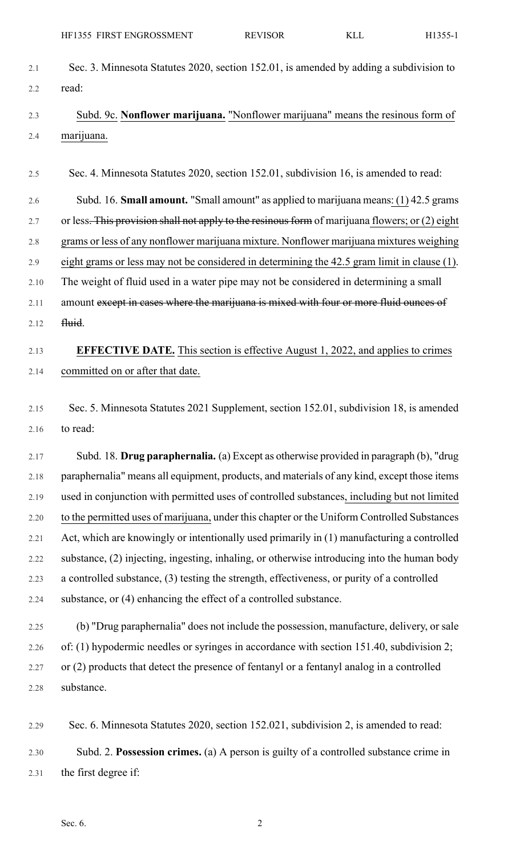- 2.1 Sec. 3. Minnesota Statutes 2020, section 152.01, is amended by adding a subdivision to 2.2 read:
- 2.3 Subd. 9c. **Nonflower marijuana.** "Nonflower marijuana" means the resinous form of 2.4 marijuana.

2.5 Sec. 4. Minnesota Statutes 2020, section 152.01, subdivision 16, is amended to read:

2.6 Subd. 16. **Small amount.** "Small amount" as applied to marijuana means: (1) 42.5 grams

2.7 or less. This provision shall not apply to the resinous form of marijuana flowers; or (2) eight

2.8 grams or less of any nonflower marijuana mixture. Nonflower marijuana mixtures weighing

2.9 eight grams or less may not be considered in determining the 42.5 gram limit in clause (1).

2.10 The weight of fluid used in a water pipe may not be considered in determining a small

2.11 amount except in cases where the marijuana is mixed with four or more fluid ounces of

2.12 <del>fluid</del>.

## 2.13 **EFFECTIVE DATE.** This section is effective August 1, 2022, and applies to crimes 2.14 committed on or after that date.

2.15 Sec. 5. Minnesota Statutes 2021 Supplement, section 152.01, subdivision 18, is amended 2.16 to read:

2.17 Subd. 18. **Drug paraphernalia.** (a) Except as otherwise provided in paragraph (b), "drug 2.18 paraphernalia" means all equipment, products, and materials of any kind, except those items 2.19 used in conjunction with permitted uses of controlled substances, including but not limited 2.20 to the permitted uses of marijuana, under this chapter or the Uniform Controlled Substances 2.21 Act, which are knowingly or intentionally used primarily in (1) manufacturing a controlled 2.22 substance, (2) injecting, ingesting, inhaling, or otherwise introducing into the human body 2.23 a controlled substance, (3) testing the strength, effectiveness, or purity of a controlled 2.24 substance, or (4) enhancing the effect of a controlled substance.

2.25 (b) "Drug paraphernalia" does not include the possession, manufacture, delivery, or sale 2.26 of: (1) hypodermic needles or syringes in accordance with section 151.40, subdivision 2; 2.27 or (2) products that detect the presence of fentanyl or a fentanyl analog in a controlled 2.28 substance.

2.29 Sec. 6. Minnesota Statutes 2020, section 152.021, subdivision 2, is amended to read: 2.30 Subd. 2. **Possession crimes.** (a) A person is guilty of a controlled substance crime in 2.31 the first degree if: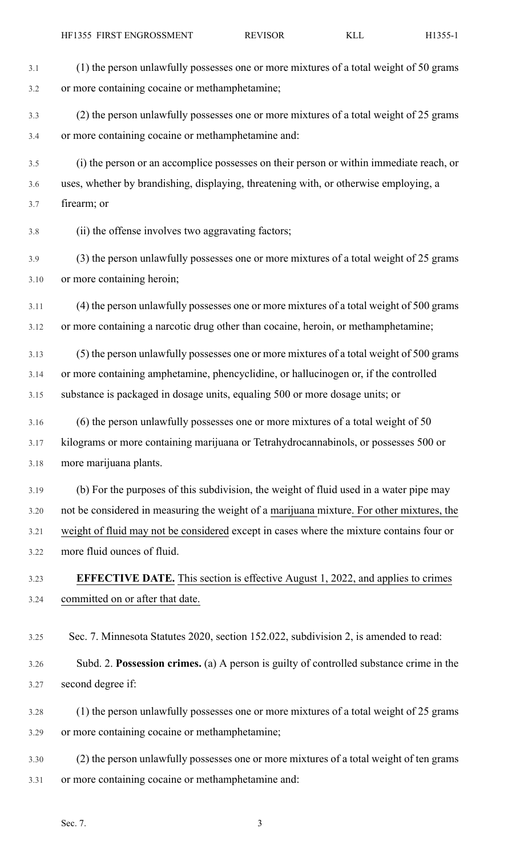| 3.1  | (1) the person unlawfully possesses one or more mixtures of a total weight of 50 grams    |
|------|-------------------------------------------------------------------------------------------|
| 3.2  | or more containing cocaine or methamphetamine;                                            |
| 3.3  | (2) the person unlawfully possesses one or more mixtures of a total weight of 25 grams    |
| 3.4  | or more containing cocaine or methamphetamine and:                                        |
| 3.5  | (i) the person or an accomplice possesses on their person or within immediate reach, or   |
| 3.6  | uses, whether by brandishing, displaying, threatening with, or otherwise employing, a     |
| 3.7  | firearm; or                                                                               |
| 3.8  | (ii) the offense involves two aggravating factors;                                        |
| 3.9  | (3) the person unlawfully possesses one or more mixtures of a total weight of 25 grams    |
| 3.10 | or more containing heroin;                                                                |
| 3.11 | (4) the person unlawfully possesses one or more mixtures of a total weight of 500 grams   |
| 3.12 | or more containing a narcotic drug other than cocaine, heroin, or methamphetamine;        |
| 3.13 | (5) the person unlawfully possesses one or more mixtures of a total weight of 500 grams   |
| 3.14 | or more containing amphetamine, phencyclidine, or hallucinogen or, if the controlled      |
| 3.15 | substance is packaged in dosage units, equaling 500 or more dosage units; or              |
| 3.16 | (6) the person unlawfully possesses one or more mixtures of a total weight of 50          |
| 3.17 | kilograms or more containing marijuana or Tetrahydrocannabinols, or possesses 500 or      |
| 3.18 | more marijuana plants.                                                                    |
| 3.19 | (b) For the purposes of this subdivision, the weight of fluid used in a water pipe may    |
| 3.20 | not be considered in measuring the weight of a marijuana mixture. For other mixtures, the |
| 3.21 | weight of fluid may not be considered except in cases where the mixture contains four or  |
| 3.22 | more fluid ounces of fluid.                                                               |
| 3.23 | <b>EFFECTIVE DATE.</b> This section is effective August 1, 2022, and applies to crimes    |
| 3.24 | committed on or after that date.                                                          |
| 3.25 | Sec. 7. Minnesota Statutes 2020, section 152.022, subdivision 2, is amended to read:      |
| 3.26 | Subd. 2. Possession crimes. (a) A person is guilty of controlled substance crime in the   |
| 3.27 | second degree if:                                                                         |
| 3.28 | (1) the person unlawfully possesses one or more mixtures of a total weight of 25 grams    |
| 3.29 | or more containing cocaine or methamphetamine;                                            |
| 3.30 | (2) the person unlawfully possesses one or more mixtures of a total weight of ten grams   |
| 3.31 | or more containing cocaine or methamphetamine and:                                        |
|      | Sec. 7.<br>3                                                                              |
|      |                                                                                           |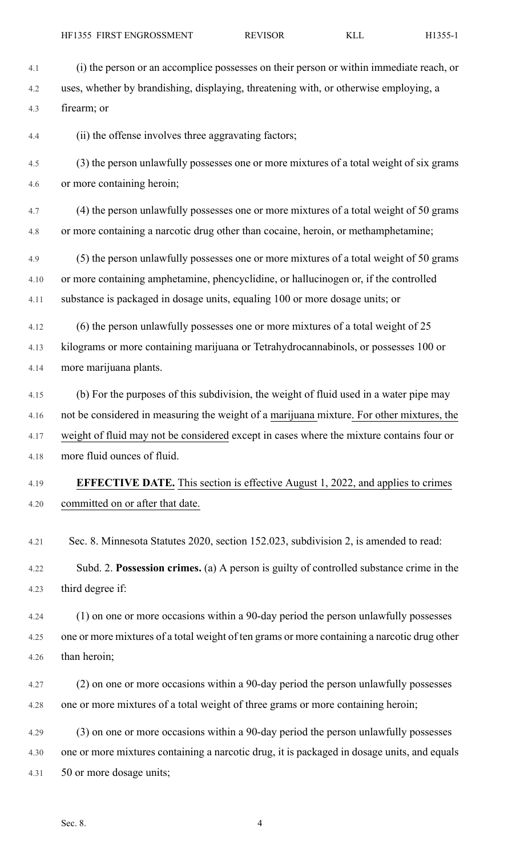- 4.1 (i) the person or an accomplice possesses on their person or within immediate reach, or 4.2 uses, whether by brandishing, displaying, threatening with, or otherwise employing, a 4.3 firearm; or 4.4 (ii) the offense involves three aggravating factors; 4.5 (3) the person unlawfully possesses one or more mixtures of a total weight of six grams 4.6 or more containing heroin; 4.7 (4) the person unlawfully possesses one or more mixtures of a total weight of 50 grams 4.8 or more containing a narcotic drug other than cocaine, heroin, or methamphetamine; 4.9 (5) the person unlawfully possesses one or more mixtures of a total weight of 50 grams 4.10 or more containing amphetamine, phencyclidine, or hallucinogen or, if the controlled 4.11 substance is packaged in dosage units, equaling 100 or more dosage units; or 4.12 (6) the person unlawfully possesses one or more mixtures of a total weight of 25 4.13 kilograms or more containing marijuana or Tetrahydrocannabinols, or possesses 100 or 4.14 more marijuana plants. 4.15 (b) For the purposes of this subdivision, the weight of fluid used in a water pipe may 4.16 not be considered in measuring the weight of a marijuana mixture. For other mixtures, the 4.17 weight of fluid may not be considered except in cases where the mixture contains four or 4.18 more fluid ounces of fluid. 4.19 **EFFECTIVE DATE.** This section is effective August 1, 2022, and applies to crimes 4.20 committed on or after that date. 4.21 Sec. 8. Minnesota Statutes 2020, section 152.023, subdivision 2, is amended to read: 4.22 Subd. 2. **Possession crimes.** (a) A person is guilty of controlled substance crime in the 4.23 third degree if: 4.24 (1) on one or more occasions within a 90-day period the person unlawfully possesses 4.25 one or more mixtures of a total weight of ten grams or more containing a narcotic drug other 4.26 than heroin; 4.27 (2) on one or more occasions within a 90-day period the person unlawfully possesses 4.28 one or more mixtures of a total weight of three grams or more containing heroin; 4.29 (3) on one or more occasions within a 90-day period the person unlawfully possesses 4.30 one or more mixtures containing a narcotic drug, it is packaged in dosage units, and equals
- 4.31 50 or more dosage units;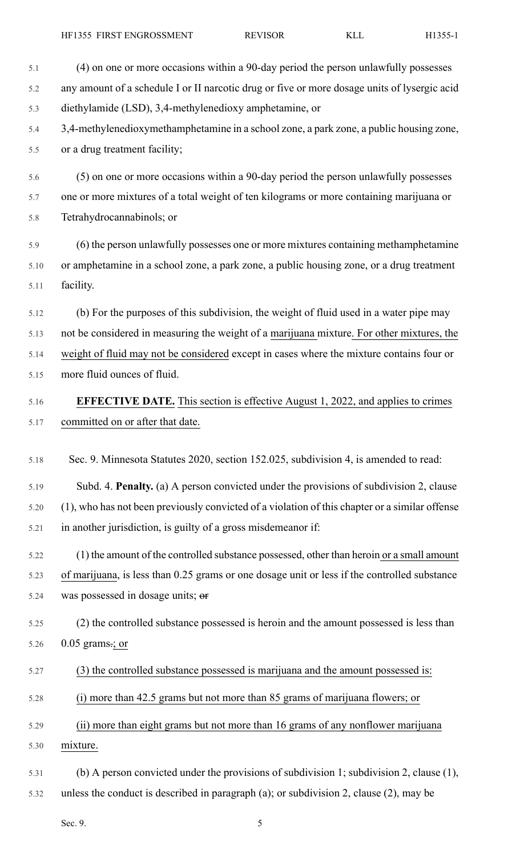| 5.1  | (4) on one or more occasions within a 90-day period the person unlawfully possesses            |
|------|------------------------------------------------------------------------------------------------|
| 5.2  | any amount of a schedule I or II narcotic drug or five or more dosage units of lysergic acid   |
| 5.3  | diethylamide (LSD), 3,4-methylenedioxy amphetamine, or                                         |
| 5.4  | 3,4-methylenedioxymethamphetamine in a school zone, a park zone, a public housing zone,        |
| 5.5  | or a drug treatment facility;                                                                  |
| 5.6  | (5) on one or more occasions within a 90-day period the person unlawfully possesses            |
| 5.7  | one or more mixtures of a total weight of ten kilograms or more containing marijuana or        |
| 5.8  | Tetrahydrocannabinols; or                                                                      |
| 5.9  | (6) the person unlawfully possesses one or more mixtures containing methamphetamine            |
| 5.10 | or amphetamine in a school zone, a park zone, a public housing zone, or a drug treatment       |
| 5.11 | facility.                                                                                      |
| 5.12 | (b) For the purposes of this subdivision, the weight of fluid used in a water pipe may         |
| 5.13 | not be considered in measuring the weight of a marijuana mixture. For other mixtures, the      |
| 5.14 | weight of fluid may not be considered except in cases where the mixture contains four or       |
| 5.15 | more fluid ounces of fluid.                                                                    |
| 5.16 | <b>EFFECTIVE DATE.</b> This section is effective August 1, 2022, and applies to crimes         |
| 5.17 | committed on or after that date.                                                               |
| 5.18 | Sec. 9. Minnesota Statutes 2020, section 152.025, subdivision 4, is amended to read:           |
| 5.19 | Subd. 4. Penalty. (a) A person convicted under the provisions of subdivision 2, clause         |
| 5.20 | (1), who has not been previously convicted of a violation of this chapter or a similar offense |
| 5.21 | in another jurisdiction, is guilty of a gross misdemeanor if:                                  |
|      |                                                                                                |
| 5.22 | (1) the amount of the controlled substance possessed, other than heroin or a small amount      |
| 5.23 | of marijuana, is less than 0.25 grams or one dosage unit or less if the controlled substance   |
| 5.24 | was possessed in dosage units; or                                                              |
| 5.25 | (2) the controlled substance possessed is heroin and the amount possessed is less than         |
| 5.26 | $0.05$ grams.; or                                                                              |
| 5.27 | (3) the controlled substance possessed is marijuana and the amount possessed is:               |
| 5.28 | (i) more than 42.5 grams but not more than 85 grams of marijuana flowers; or                   |
| 5.29 | (ii) more than eight grams but not more than 16 grams of any nonflower marijuana               |
| 5.30 | mixture.                                                                                       |
| 5.31 | (b) A person convicted under the provisions of subdivision 1; subdivision 2, clause $(1)$ ,    |
| 5.32 | unless the conduct is described in paragraph (a); or subdivision 2, clause (2), may be         |

Sec. 9. 5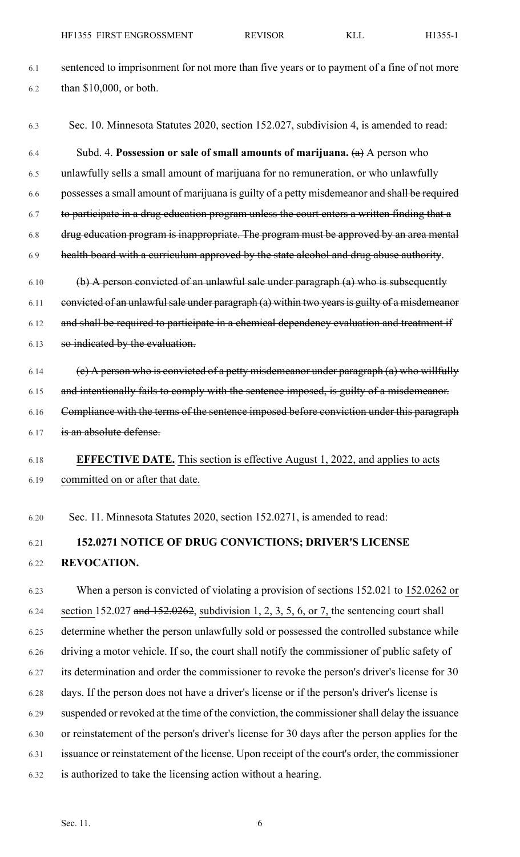- 6.1 sentenced to imprisonment for not more than five years or to payment of a fine of not more 6.2 than \$10,000, or both.
- 6.3 Sec. 10. Minnesota Statutes 2020, section 152.027, subdivision 4, is amended to read:

6.4 Subd. 4. **Possession or sale of small amounts of marijuana.** (a) A person who 6.5 unlawfully sells a small amount of marijuana for no remuneration, or who unlawfully 6.6 possesses a small amount of marijuana is guilty of a petty misdemeanor and shall be required 6.7 to participate in a drug education program unless the court enters a written finding that a 6.8 drug education program is inappropriate. The program must be approved by an area mental 6.9 health board with a curriculum approved by the state alcohol and drug abuse authority.  $6.10$  (b) A person convicted of an unlawful sale under paragraph (a) who is subsequently  $6.11$  convicted of an unlawful sale under paragraph (a) within two years is guilty of a misdemeanor

6.12 and shall be required to participate in a chemical dependency evaluation and treatment if 6.13 so indicated by the evaluation.

- 6.14 (c) A person who is convicted of a petty misdemeanor under paragraph  $(a)$  who willfully 6.15 and intentionally fails to comply with the sentence imposed, is guilty of a misdemeanor. 6.16 Compliance with the terms of the sentence imposed before conviction under this paragraph 6.17 is an absolute defense.
- 

6.18 **EFFECTIVE DATE.** This section is effective August 1, 2022, and applies to acts 6.19 committed on or after that date.

6.20 Sec. 11. Minnesota Statutes 2020, section 152.0271, is amended to read:

## 6.21 **152.0271 NOTICE OF DRUG CONVICTIONS; DRIVER'S LICENSE** 6.22 **REVOCATION.**

6.23 When a person is convicted of violating a provision of sections 152.021 to 152.0262 or 6.24 section 152.027 and  $152.0262$ , subdivision 1, 2, 3, 5, 6, or 7, the sentencing court shall 6.25 determine whether the person unlawfully sold or possessed the controlled substance while 6.26 driving a motor vehicle. If so, the court shall notify the commissioner of public safety of 6.27 its determination and order the commissioner to revoke the person's driver's license for 30 6.28 days. If the person does not have a driver's license or if the person's driver's license is 6.29 suspended or revoked at the time of the conviction, the commissionershall delay the issuance 6.30 or reinstatement of the person's driver's license for 30 days after the person applies for the 6.31 issuance or reinstatement of the license. Upon receipt of the court's order, the commissioner 6.32 is authorized to take the licensing action without a hearing.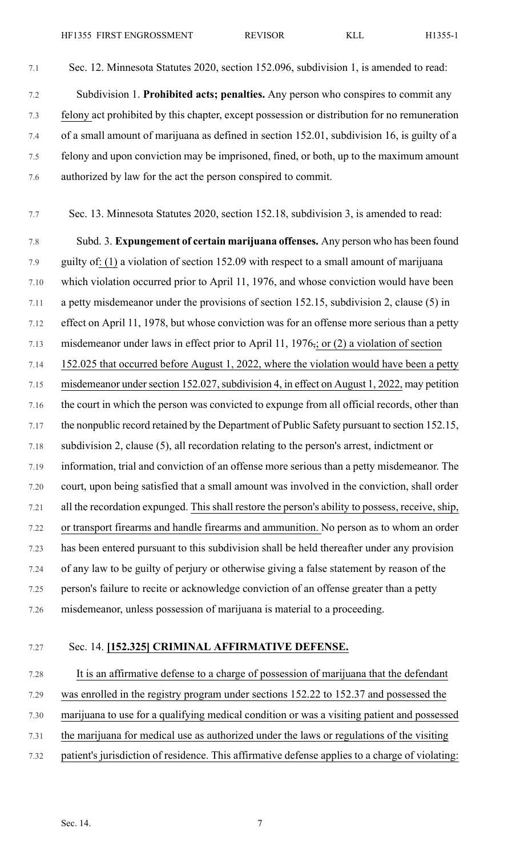- 7.1 Sec. 12. Minnesota Statutes 2020, section 152.096, subdivision 1, is amended to read:
- 7.2 Subdivision 1. **Prohibited acts; penalties.** Any person who conspires to commit any 7.3 felony act prohibited by this chapter, except possession or distribution for no remuneration 7.4 of a small amount of marijuana as defined in section 152.01, subdivision 16, is guilty of a 7.5 felony and upon conviction may be imprisoned, fined, or both, up to the maximum amount 7.6 authorized by law for the act the person conspired to commit.
- 7.7 Sec. 13. Minnesota Statutes 2020, section 152.18, subdivision 3, is amended to read:

7.8 Subd. 3. **Expungement of certain marijuana offenses.** Any person who has been found 7.9 guilty of: (1) a violation of section 152.09 with respect to a small amount of marijuana 7.10 which violation occurred prior to April 11, 1976, and whose conviction would have been 7.11 a petty misdemeanor under the provisions of section 152.15, subdivision 2, clause (5) in 7.12 effect on April 11, 1978, but whose conviction was for an offense more serious than a petty 7.13 misdemeanor under laws in effect prior to April 11, 1976, or (2) a violation of section 7.14 152.025 that occurred before August 1, 2022, where the violation would have been a petty 7.15 misdemeanor under section 152.027, subdivision 4, in effect on August 1, 2022, may petition 7.16 the court in which the person was convicted to expunge from all official records, other than 7.17 the nonpublic record retained by the Department of Public Safety pursuant to section 152.15, 7.18 subdivision 2, clause (5), all recordation relating to the person's arrest, indictment or 7.19 information, trial and conviction of an offense more serious than a petty misdemeanor. The 7.20 court, upon being satisfied that a small amount was involved in the conviction, shall order 7.21 all the recordation expunged. This shall restore the person's ability to possess, receive, ship, 7.22 or transport firearms and handle firearms and ammunition. No person as to whom an order 7.23 has been entered pursuant to this subdivision shall be held thereafter under any provision 7.24 of any law to be guilty of perjury or otherwise giving a false statement by reason of the 7.25 person's failure to recite or acknowledge conviction of an offense greater than a petty 7.26 misdemeanor, unless possession of marijuana is material to a proceeding.

#### 7.27 Sec. 14. **[152.325] CRIMINAL AFFIRMATIVE DEFENSE.**

7.28 It is an affirmative defense to a charge of possession of marijuana that the defendant 7.29 was enrolled in the registry program under sections 152.22 to 152.37 and possessed the 7.30 marijuana to use for a qualifying medical condition or was a visiting patient and possessed 7.31 the marijuana for medical use as authorized under the laws or regulations of the visiting 7.32 patient's jurisdiction of residence. This affirmative defense applies to a charge of violating: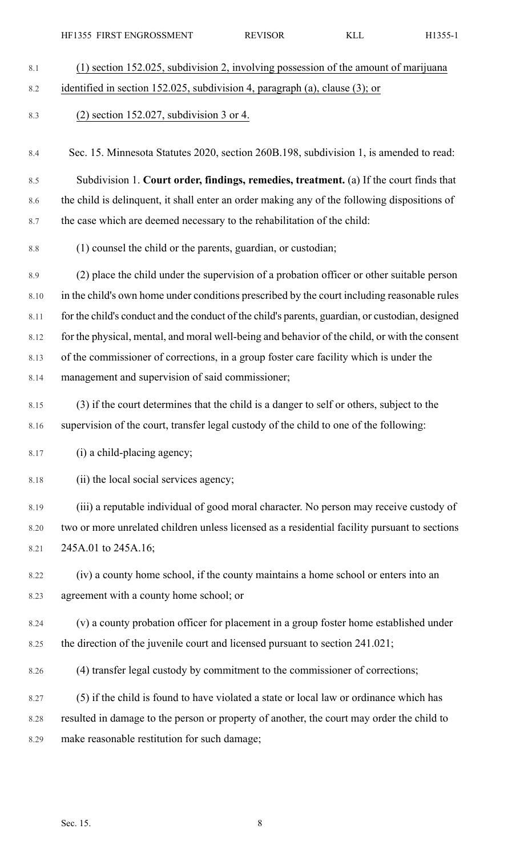| 8.1 | $(1)$ section 152.025, subdivision 2, involving possession of the amount of marijuana |
|-----|---------------------------------------------------------------------------------------|
| 8.2 | identified in section 152.025, subdivision 4, paragraph (a), clause (3); or           |
| 8.3 | $(2)$ section 152.027, subdivision 3 or 4.                                            |

8.4 Sec. 15. Minnesota Statutes 2020, section 260B.198, subdivision 1, is amended to read:

8.5 Subdivision 1. **Court order, findings, remedies, treatment.** (a) If the court finds that 8.6 the child is delinquent, it shall enter an order making any of the following dispositions of 8.7 the case which are deemed necessary to the rehabilitation of the child:

8.8 (1) counsel the child or the parents, guardian, or custodian;

8.9 (2) place the child under the supervision of a probation officer or other suitable person 8.10 in the child's own home under conditions prescribed by the court including reasonable rules 8.11 for the child's conduct and the conduct of the child's parents, guardian, or custodian, designed 8.12 for the physical, mental, and moral well-being and behavior of the child, or with the consent 8.13 of the commissioner of corrections, in a group foster care facility which is under the 8.14 management and supervision of said commissioner;

8.15 (3) if the court determines that the child is a danger to self or others, subject to the 8.16 supervision of the court, transfer legal custody of the child to one of the following:

8.17 (i) a child-placing agency;

8.18 (ii) the local social services agency;

8.19 (iii) a reputable individual of good moral character. No person may receive custody of 8.20 two or more unrelated children unless licensed as a residential facility pursuant to sections 8.21 245A.01 to 245A.16;

8.22 (iv) a county home school, if the county maintains a home school or enters into an 8.23 agreement with a county home school; or

8.24 (v) a county probation officer for placement in a group foster home established under 8.25 the direction of the juvenile court and licensed pursuant to section 241.021;

8.26 (4) transfer legal custody by commitment to the commissioner of corrections;

8.27 (5) if the child is found to have violated a state or local law or ordinance which has 8.28 resulted in damage to the person or property of another, the court may order the child to 8.29 make reasonable restitution for such damage;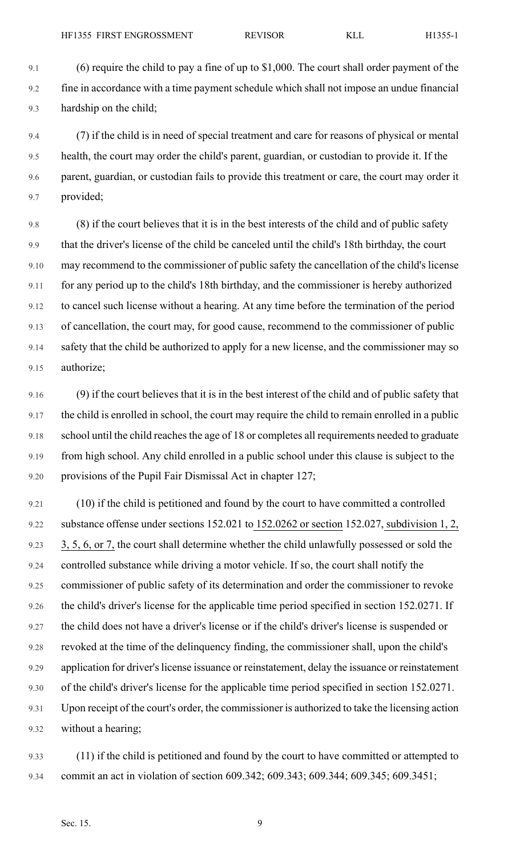9.4 (7) if the child is in need of special treatment and care for reasons of physical or mental 9.5 health, the court may order the child's parent, guardian, or custodian to provide it. If the 9.6 parent, guardian, or custodian fails to provide this treatment or care, the court may order it 9.7 provided;

9.8 (8) if the court believes that it is in the best interests of the child and of public safety 9.9 that the driver's license of the child be canceled until the child's 18th birthday, the court 9.10 may recommend to the commissioner of public safety the cancellation of the child's license 9.11 for any period up to the child's 18th birthday, and the commissioner is hereby authorized 9.12 to cancel such license without a hearing. At any time before the termination of the period 9.13 of cancellation, the court may, for good cause, recommend to the commissioner of public 9.14 safety that the child be authorized to apply for a new license, and the commissioner may so 9.15 authorize;

9.16 (9) if the court believes that it is in the best interest of the child and of public safety that 9.17 the child is enrolled in school, the court may require the child to remain enrolled in a public 9.18 school until the child reaches the age of 18 or completes all requirements needed to graduate 9.19 from high school. Any child enrolled in a public school under this clause is subject to the 9.20 provisions of the Pupil Fair Dismissal Act in chapter 127;

9.21 (10) if the child is petitioned and found by the court to have committed a controlled 9.22 substance offense under sections 152.021 to 152.0262 or section 152.027, subdivision 1, 2, 9.23 3, 5, 6, or 7, the court shall determine whether the child unlawfully possessed or sold the 9.24 controlled substance while driving a motor vehicle. If so, the court shall notify the 9.25 commissioner of public safety of its determination and order the commissioner to revoke 9.26 the child's driver's license for the applicable time period specified in section 152.0271. If 9.27 the child does not have a driver's license or if the child's driver's license is suspended or 9.28 revoked at the time of the delinquency finding, the commissioner shall, upon the child's 9.29 application for driver's license issuance or reinstatement, delay the issuance or reinstatement 9.30 of the child's driver's license for the applicable time period specified in section 152.0271. 9.31 Upon receipt of the court's order, the commissioner is authorized to take the licensing action 9.32 without a hearing;

9.33 (11) if the child is petitioned and found by the court to have committed or attempted to 9.34 commit an act in violation of section 609.342; 609.343; 609.344; 609.345; 609.3451;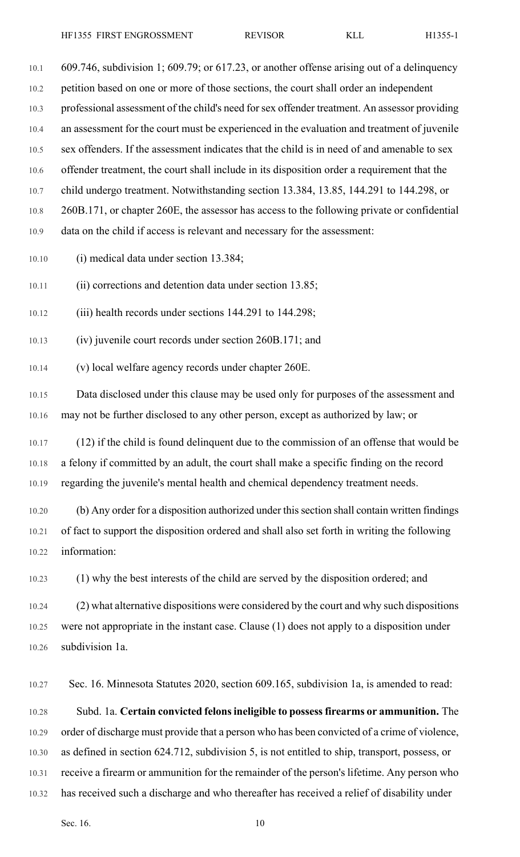10.1 609.746, subdivision 1; 609.79; or 617.23, or another offense arising out of a delinquency 10.2 petition based on one or more of those sections, the court shall order an independent 10.3 professional assessment of the child's need forsex offender treatment. An assessor providing 10.4 an assessment for the court must be experienced in the evaluation and treatment of juvenile 10.5 sex offenders. If the assessment indicates that the child is in need of and amenable to sex 10.6 offender treatment, the court shall include in its disposition order a requirement that the 10.7 child undergo treatment. Notwithstanding section 13.384, 13.85, 144.291 to 144.298, or 10.8 260B.171, or chapter 260E, the assessor has access to the following private or confidential 10.9 data on the child if access is relevant and necessary for the assessment:

10.10 (i) medical data under section 13.384;

10.11 (ii) corrections and detention data under section 13.85;

10.12 (iii) health records under sections 144.291 to 144.298;

10.13 (iv) juvenile court records under section 260B.171; and

10.14 (v) local welfare agency records under chapter 260E.

10.15 Data disclosed under this clause may be used only for purposes of the assessment and 10.16 may not be further disclosed to any other person, except as authorized by law; or

10.17 (12) if the child is found delinquent due to the commission of an offense that would be 10.18 a felony if committed by an adult, the court shall make a specific finding on the record 10.19 regarding the juvenile's mental health and chemical dependency treatment needs.

10.20 (b) Any order for a disposition authorized under thissection shall contain written findings 10.21 of fact to support the disposition ordered and shall also set forth in writing the following 10.22 information:

10.23 (1) why the best interests of the child are served by the disposition ordered; and

10.24 (2) what alternative dispositions were considered by the court and why such dispositions 10.25 were not appropriate in the instant case. Clause (1) does not apply to a disposition under 10.26 subdivision 1a.

10.27 Sec. 16. Minnesota Statutes 2020, section 609.165, subdivision 1a, is amended to read:

10.28 Subd. 1a. **Certain convicted felonsineligible to possessfirearms or ammunition.** The 10.29 order of discharge must provide that a person who has been convicted of a crime of violence, 10.30 as defined in section 624.712, subdivision 5, is not entitled to ship, transport, possess, or 10.31 receive a firearm or ammunition for the remainder of the person's lifetime. Any person who 10.32 has received such a discharge and who thereafter has received a relief of disability under